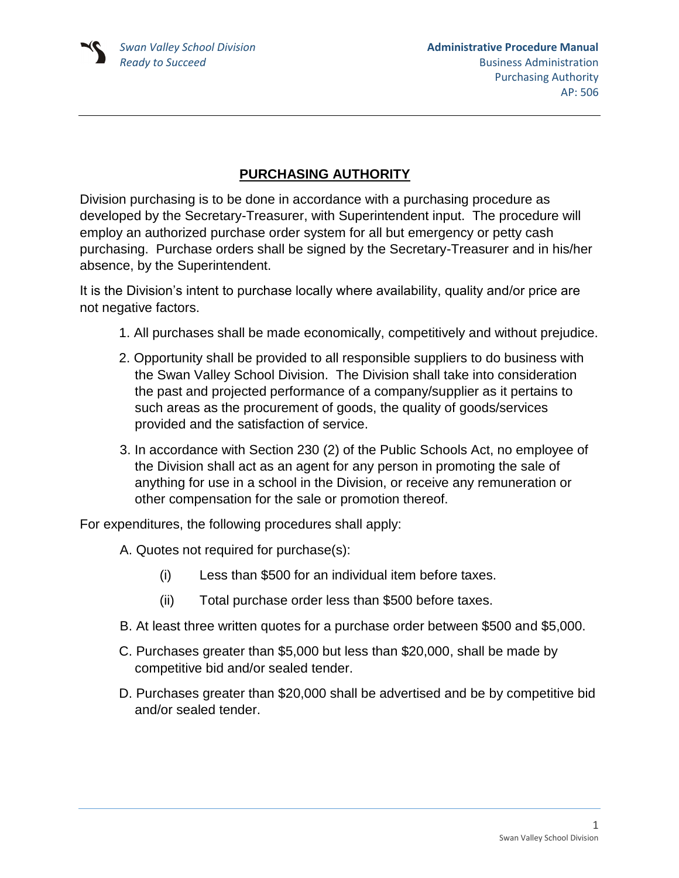## **PURCHASING AUTHORITY**

Division purchasing is to be done in accordance with a purchasing procedure as developed by the Secretary-Treasurer, with Superintendent input. The procedure will employ an authorized purchase order system for all but emergency or petty cash purchasing. Purchase orders shall be signed by the Secretary-Treasurer and in his/her absence, by the Superintendent.

It is the Division's intent to purchase locally where availability, quality and/or price are not negative factors.

- 1. All purchases shall be made economically, competitively and without prejudice.
- 2. Opportunity shall be provided to all responsible suppliers to do business with the Swan Valley School Division. The Division shall take into consideration the past and projected performance of a company/supplier as it pertains to such areas as the procurement of goods, the quality of goods/services provided and the satisfaction of service.
- 3. In accordance with Section 230 (2) of the Public Schools Act, no employee of the Division shall act as an agent for any person in promoting the sale of anything for use in a school in the Division, or receive any remuneration or other compensation for the sale or promotion thereof.

For expenditures, the following procedures shall apply:

- A. Quotes not required for purchase(s):
	- (i) Less than \$500 for an individual item before taxes.
	- (ii) Total purchase order less than \$500 before taxes.
- B. At least three written quotes for a purchase order between \$500 and \$5,000.
- C. Purchases greater than \$5,000 but less than \$20,000, shall be made by competitive bid and/or sealed tender.
- D. Purchases greater than \$20,000 shall be advertised and be by competitive bid and/or sealed tender.